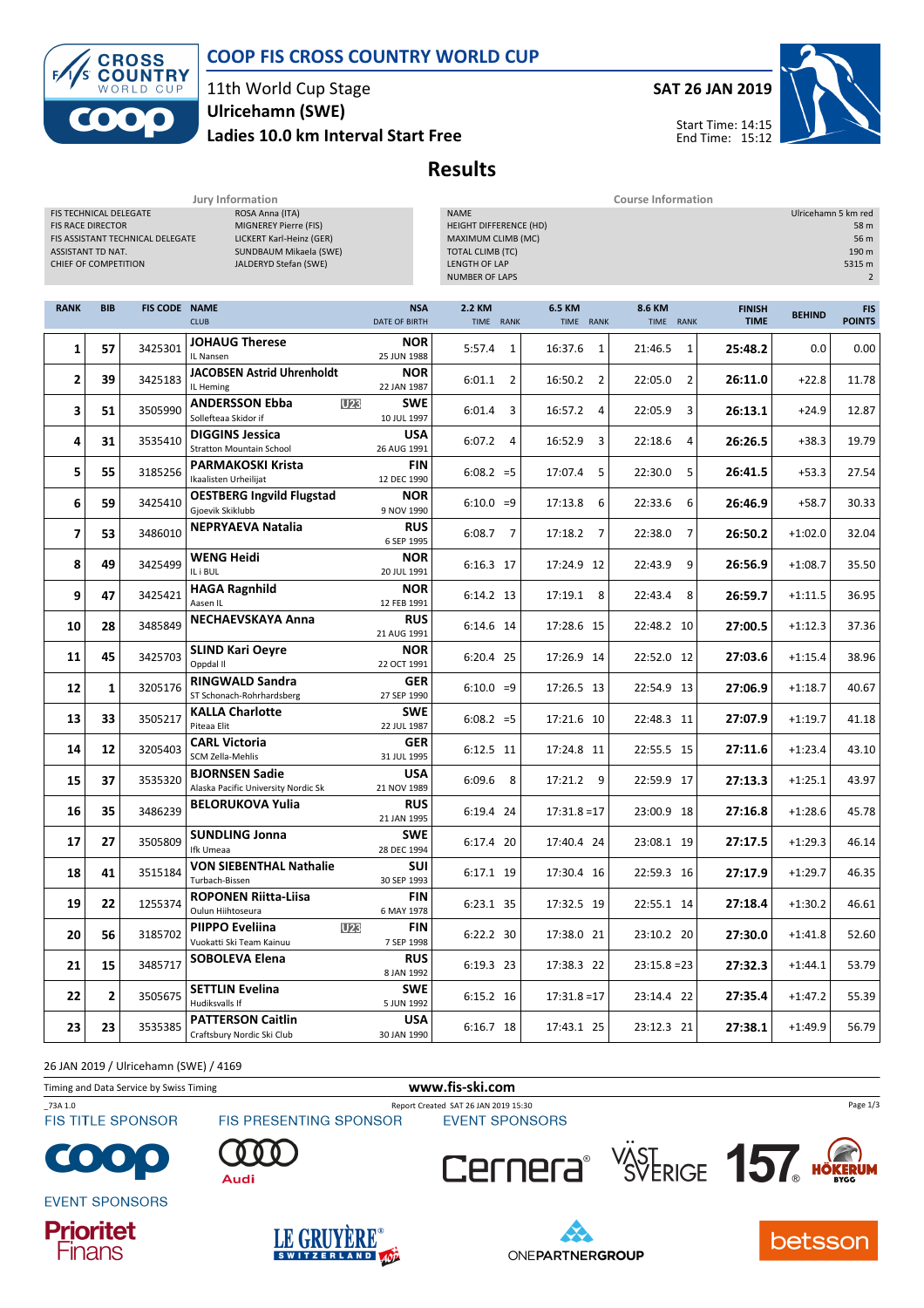



#### 11th World Cup Stage Ladies 10.0 km Interval Start Free Ulricehamn (SWE)

# SAT 26 JAN 2019

Start Time: 14:15 End Time: 15:12



Results

|                                                                                                 |            |                                  | Jury Information                                                                                                        |                             | <b>Course Information</b>                                                                                                               |                           |                     |                              |               |                                                                          |  |  |
|-------------------------------------------------------------------------------------------------|------------|----------------------------------|-------------------------------------------------------------------------------------------------------------------------|-----------------------------|-----------------------------------------------------------------------------------------------------------------------------------------|---------------------------|---------------------|------------------------------|---------------|--------------------------------------------------------------------------|--|--|
| FIS TECHNICAL DELEGATE<br><b>FIS RACE DIRECTOR</b><br>ASSISTANT TD NAT.<br>CHIEF OF COMPETITION |            | FIS ASSISTANT TECHNICAL DELEGATE | ROSA Anna (ITA)<br>MIGNEREY Pierre (FIS)<br>LICKERT Karl-Heinz (GER)<br>SUNDBAUM Mikaela (SWE)<br>JALDERYD Stefan (SWE) |                             | <b>NAME</b><br>HEIGHT DIFFERENCE (HD)<br>MAXIMUM CLIMB (MC)<br><b>TOTAL CLIMB (TC)</b><br><b>LENGTH OF LAP</b><br><b>NUMBER OF LAPS</b> |                           |                     |                              |               | Ulricehamn 5 km red<br>58 m<br>56 m<br>190 m<br>5315 m<br>$\overline{2}$ |  |  |
| <b>RANK</b>                                                                                     | <b>BIB</b> | <b>FIS CODE NAME</b>             | <b>CLUB</b>                                                                                                             | <b>NSA</b><br>DATE OF BIRTH | 2.2 KM<br>TIME RANK                                                                                                                     | 6.5 KM<br>TIME RANK       | 8.6 KM<br>TIME RANK | <b>FINISH</b><br><b>TIME</b> | <b>BEHIND</b> | <b>FIS</b><br><b>POINTS</b>                                              |  |  |
| 1                                                                                               | 57         | 3425301                          | <b>JOHAUG Therese</b><br>IL Nansen                                                                                      | <b>NOR</b><br>25 JUN 1988   | 5:57.4<br>1                                                                                                                             | 16:37.6<br>1              | 21:46.5<br>1        | 25:48.2                      | 0.0           | 0.00                                                                     |  |  |
| 2                                                                                               | 39         | 3425183                          | <b>JACOBSEN Astrid Uhrenholdt</b><br>IL Heming                                                                          | <b>NOR</b><br>22 JAN 1987   | $6:01.1$ 2                                                                                                                              | 16:50.2 2                 | 22:05.0<br>2        | 26:11.0                      | $+22.8$       | 11.78                                                                    |  |  |
| 3                                                                                               | 51         | 3505990                          | <b>ANDERSSON Ebba</b><br><b>U23</b><br>Sollefteaa Skidor if                                                             | <b>SWE</b><br>10 JUL 1997   | 6:01.4<br>3                                                                                                                             | 16:57.2<br>$\overline{4}$ | 22:05.9<br>3        | 26:13.1                      | $+24.9$       | 12.87                                                                    |  |  |
| 4                                                                                               | 31         | 3535410                          | <b>DIGGINS Jessica</b><br><b>Stratton Mountain School</b>                                                               | <b>USA</b><br>26 AUG 1991   | $6:07.2$ 4                                                                                                                              | 16:52.9<br>3              | 22:18.6<br>4        | 26:26.5                      | $+38.3$       | 19.79                                                                    |  |  |
| 5                                                                                               | 55         | 3185256                          | <b>PARMAKOSKI Krista</b><br>Ikaalisten Urheilijat                                                                       | <b>FIN</b><br>12 DEC 1990   | $6:08.2 = 5$                                                                                                                            | 17:07.4 5                 | 22:30.0<br>5        | 26:41.5                      | $+53.3$       | 27.54                                                                    |  |  |
| 6                                                                                               | 59         | 3425410                          | <b>OESTBERG Ingvild Flugstad</b><br>Gjoevik Skiklubb                                                                    | <b>NOR</b><br>9 NOV 1990    | $6:10.0 = 9$                                                                                                                            | 17:13.8<br>6              | 22:33.6<br>6        | 26:46.9                      | $+58.7$       | 30.33                                                                    |  |  |
| 7                                                                                               | 53         | 3486010                          | <b>NEPRYAEVA Natalia</b>                                                                                                | <b>RUS</b><br>6 SEP 1995    | $6:08.7$ 7                                                                                                                              | 17:18.2<br>7              | 22:38.0<br>7        | 26:50.2                      | $+1:02.0$     | 32.04                                                                    |  |  |
| 8                                                                                               | 49         | 3425499                          | <b>WENG Heidi</b><br>IL i BUL                                                                                           | <b>NOR</b><br>20 JUL 1991   | 6:16.3 17                                                                                                                               | 17:24.9 12                | 9<br>22:43.9        | 26:56.9                      | $+1:08.7$     | 35.50                                                                    |  |  |
| 9                                                                                               | 47         | 3425421                          | <b>HAGA Ragnhild</b><br>Aasen IL                                                                                        | <b>NOR</b><br>12 FEB 1991   | 6:14.2 13                                                                                                                               | 17:19.1 8                 | 22:43.4<br>8        | 26:59.7                      | $+1:11.5$     | 36.95                                                                    |  |  |
| 10                                                                                              | 28         | 3485849                          | <b>NECHAEVSKAYA Anna</b>                                                                                                | <b>RUS</b><br>21 AUG 1991   | 6:14.6 14                                                                                                                               | 17:28.6 15                | 22:48.2 10          | 27:00.5                      | $+1:12.3$     | 37.36                                                                    |  |  |
| 11                                                                                              | 45         | 3425703                          | <b>SLIND Kari Oeyre</b><br>Oppdal II                                                                                    | <b>NOR</b><br>22 OCT 1991   | 6:20.4 25                                                                                                                               | 17:26.9 14                | 22:52.0 12          | 27:03.6                      | $+1:15.4$     | 38.96                                                                    |  |  |
| 12                                                                                              | 1          | 3205176                          | <b>RINGWALD Sandra</b><br>ST Schonach-Rohrhardsberg                                                                     | <b>GER</b><br>27 SEP 1990   | $6:10.0 = 9$                                                                                                                            | 17:26.5 13                | 22:54.9 13          | 27:06.9                      | $+1:18.7$     | 40.67                                                                    |  |  |
| 13                                                                                              | 33         | 3505217                          | <b>KALLA Charlotte</b><br>Piteaa Elit                                                                                   | <b>SWE</b><br>22 JUL 1987   | $6:08.2 = 5$                                                                                                                            | 17:21.6 10                | 22:48.3 11          | 27:07.9                      | $+1:19.7$     | 41.18                                                                    |  |  |
| 14                                                                                              | 12         | 3205403                          | <b>CARL Victoria</b><br>SCM Zella-Mehlis                                                                                | <b>GER</b><br>31 JUL 1995   | 6:12.5 11                                                                                                                               | 17:24.8 11                | 22:55.5 15          | 27:11.6                      | $+1:23.4$     | 43.10                                                                    |  |  |
| 15                                                                                              | 37         | 3535320                          | <b>BJORNSEN Sadie</b><br>Alaska Pacific University Nordic Sk                                                            | <b>USA</b><br>21 NOV 1989   | $6:09.6$ 8                                                                                                                              | 17:21.2 9                 | 22:59.9 17          | 27:13.3                      | $+1:25.1$     | 43.97                                                                    |  |  |
| 16                                                                                              | 35         | 3486239                          | <b>BELORUKOVA Yulia</b>                                                                                                 | <b>RUS</b><br>21 JAN 1995   | 6:19.4 24                                                                                                                               | $17:31.8=17$              | 23:00.9 18          | 27:16.8                      | $+1:28.6$     | 45.78                                                                    |  |  |
| 17                                                                                              | 27         | 3505809                          | <b>SUNDLING Jonna</b><br>Ifk Umeaa                                                                                      | <b>SWE</b><br>28 DEC 1994   | 6:17.4 20                                                                                                                               | 17:40.4 24                | 23:08.1 19          | 27:17.5                      | $+1:29.3$     | 46.14                                                                    |  |  |
| 18                                                                                              | 41         | 3515184                          | <b>VON SIEBENTHAL Nathalie</b><br>Turbach-Bissen                                                                        | SUI<br>30 SEP 1993          | 6:17.1 19                                                                                                                               | 17:30.4 16                | 22:59.3 16          | 27:17.9                      | $+1:29.7$     | 46.35                                                                    |  |  |
| 19                                                                                              | 22         | 1255374                          | <b>ROPONEN Riitta-Liisa</b><br>Oulun Hiihtoseura                                                                        | FIN<br>6 MAY 1978           | 6:23.1 35                                                                                                                               | 17:32.5 19                | 22:55.1 14          | 27:18.4                      | $+1:30.2$     | 46.61                                                                    |  |  |
| 20                                                                                              | 56         | 3185702                          | <b>PIIPPO Eveliina</b><br><b>U23</b><br>Vuokatti Ski Team Kainuu                                                        | FIN<br>7 SEP 1998           | 6:22.2 30                                                                                                                               | 17:38.0 21                | 23:10.2 20          | 27:30.0                      | $+1:41.8$     | 52.60                                                                    |  |  |
| 21                                                                                              | 15         | 3485717                          | SOBOLEVA Elena                                                                                                          | <b>RUS</b><br>8 JAN 1992    | 6:19.3 23                                                                                                                               | 17:38.3 22                | $23:15.8 = 23$      | 27:32.3                      | $+1:44.1$     | 53.79                                                                    |  |  |
| 22                                                                                              | 2          | 3505675                          | <b>SETTLIN Evelina</b><br>Hudiksvalls If                                                                                | <b>SWE</b><br>5 JUN 1992    | 6:15.2 16                                                                                                                               | $17:31.8=17$              | 23:14.4 22          | 27:35.4                      | $+1:47.2$     | 55.39                                                                    |  |  |
| 23                                                                                              | 23         | 3535385                          | <b>PATTERSON Caitlin</b><br>Craftsbury Nordic Ski Club                                                                  | <b>USA</b><br>30 JAN 1990   | 6:16.7 18                                                                                                                               | 17:43.1 25                | 23:12.3 21          | 27:38.1                      | $+1:49.9$     | 56.79                                                                    |  |  |

26 JAN 2019 / Ulricehamn (SWE) / 4169

Timing and Data Service by Swiss Timing www.fis-ski.com

**FIS TITLE SPONSOR** 

\_73A 1.0 Report Created SAT 26 JAN 2019 15:30 FIS PRESENTING SPONSOR



**EVENT SPONSORS** 















Page 1/3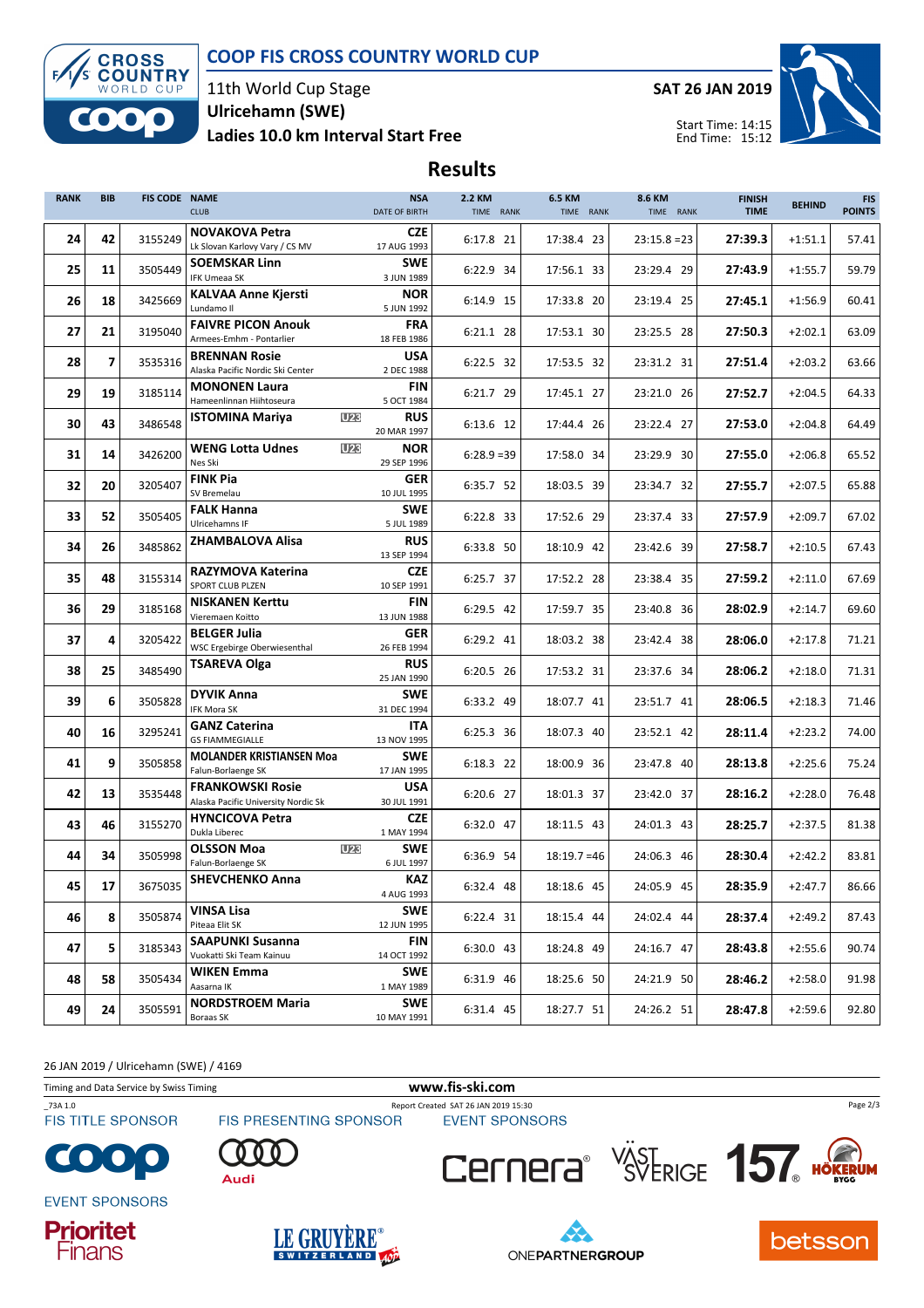## COOP FIS CROSS COUNTRY WORLD CUP



11th World Cup Stage Ladies 10.0 km Interval Start Free Ulricehamn (SWE)

SAT 26 JAN 2019



Start Time: 14:15 End Time: 15:12

## Results

| <b>RANK</b> | <b>BIB</b> | <b>FIS CODE NAME</b> | <b>CLUB</b>                                                    | <b>NSA</b><br><b>DATE OF BIRTH</b> | 2.2 KM<br>TIME RANK | <b>6.5 KM</b><br>TIME RANK | 8.6 KM<br>TIME RANK | <b>FINISH</b><br><b>TIME</b> | <b>BEHIND</b> | <b>FIS</b><br><b>POINTS</b> |
|-------------|------------|----------------------|----------------------------------------------------------------|------------------------------------|---------------------|----------------------------|---------------------|------------------------------|---------------|-----------------------------|
| 24          | 42         | 3155249              | <b>NOVAKOVA Petra</b><br>Lk Slovan Karlovy Vary / CS MV        | <b>CZE</b><br>17 AUG 1993          | 6:17.8 21           | 17:38.4 23                 | $23:15.8 = 23$      | 27:39.3                      | $+1:51.1$     | 57.41                       |
| 25          | 11         | 3505449              | <b>SOEMSKAR Linn</b><br><b>IFK Umeaa SK</b>                    | <b>SWE</b><br>3 JUN 1989           | 6:22.9 34           | 17:56.1 33                 | 23:29.4 29          | 27:43.9                      | $+1:55.7$     | 59.79                       |
| 26          | 18         | 3425669              | <b>KALVAA Anne Kjersti</b><br>Lundamo II                       | <b>NOR</b><br>5 JUN 1992           | 6:14.9 15           | 17:33.8 20                 | 23:19.4 25          | 27:45.1                      | $+1:56.9$     | 60.41                       |
| 27          | 21         | 3195040              | <b>FAIVRE PICON Anouk</b><br>Armees-Emhm - Pontarlier          | <b>FRA</b><br>18 FEB 1986          | 6:21.1 28           | 17:53.1 30                 | 23:25.5 28          | 27:50.3                      | $+2:02.1$     | 63.09                       |
| 28          | 7          | 3535316              | <b>BRENNAN Rosie</b><br>Alaska Pacific Nordic Ski Center       | <b>USA</b><br>2 DEC 1988           | 6:22.5 32           | 17:53.5 32                 | 23:31.2 31          | 27:51.4                      | $+2:03.2$     | 63.66                       |
| 29          | 19         | 3185114              | <b>MONONEN Laura</b><br>Hameenlinnan Hiihtoseura               | FIN<br>5 OCT 1984                  | 6:21.7 29           | 17:45.1 27                 | 23:21.0 26          | 27:52.7                      | $+2:04.5$     | 64.33                       |
| 30          | 43         | 3486548              | <b>U23</b><br><b>ISTOMINA Mariya</b>                           | <b>RUS</b><br>20 MAR 1997          | 6:13.6 12           | 17:44.4 26                 | 23:22.4 27          | 27:53.0                      | $+2:04.8$     | 64.49                       |
| 31          | 14         | 3426200              | <b>WENG Lotta Udnes</b><br><b>U23</b><br>Nes Ski               | <b>NOR</b><br>29 SEP 1996          | $6:28.9=39$         | 17:58.0 34                 | 23:29.9 30          | 27:55.0                      | $+2:06.8$     | 65.52                       |
| 32          | 20         | 3205407              | <b>FINK Pia</b><br>SV Bremelau                                 | <b>GER</b><br>10 JUL 1995          | 6:35.7 52           | 18:03.5 39                 | 23:34.7 32          | 27:55.7                      | $+2:07.5$     | 65.88                       |
| 33          | 52         | 3505405              | <b>FALK Hanna</b><br>Ulricehamns IF                            | <b>SWE</b><br>5 JUL 1989           | 6:22.8 33           | 17:52.6 29                 | 23:37.4 33          | 27:57.9                      | $+2:09.7$     | 67.02                       |
| 34          | 26         | 3485862              | ZHAMBALOVA Alisa                                               | <b>RUS</b><br>13 SEP 1994          | 6:33.8 50           | 18:10.9 42                 | 23:42.6 39          | 27:58.7                      | $+2:10.5$     | 67.43                       |
| 35          | 48         | 3155314              | <b>RAZYMOVA Katerina</b><br>SPORT CLUB PLZEN                   | <b>CZE</b><br>10 SEP 1991          | 6:25.7 37           | 17:52.2 28                 | 23:38.4 35          | 27:59.2                      | $+2:11.0$     | 67.69                       |
| 36          | 29         | 3185168              | <b>NISKANEN Kerttu</b><br>Vieremaen Koitto                     | FIN<br>13 JUN 1988                 | 6:29.5 42           | 17:59.7 35                 | 23:40.8 36          | 28:02.9                      | $+2:14.7$     | 69.60                       |
| 37          | 4          | 3205422              | <b>BELGER Julia</b><br>WSC Ergebirge Oberwiesenthal            | <b>GER</b><br>26 FEB 1994          | 6:29.2 41           | 18:03.2 38                 | 23:42.4 38          | 28:06.0                      | $+2:17.8$     | 71.21                       |
| 38          | 25         | 3485490              | <b>TSAREVA Olga</b>                                            | <b>RUS</b><br>25 JAN 1990          | 6:20.5 26           | 17:53.2 31                 | 23:37.6 34          | 28:06.2                      | $+2:18.0$     | 71.31                       |
| 39          | 6          | 3505828              | <b>DYVIK Anna</b><br>IFK Mora SK                               | <b>SWE</b><br>31 DEC 1994          | 6:33.2 49           | 18:07.7 41                 | 23:51.7 41          | 28:06.5                      | $+2:18.3$     | 71.46                       |
| 40          | 16         | 3295241              | <b>GANZ Caterina</b><br><b>GS FIAMMEGIALLE</b>                 | <b>ITA</b><br>13 NOV 1995          | 6:25.3 36           | 18:07.3 40                 | 23:52.1 42          | 28:11.4                      | $+2:23.2$     | 74.00                       |
| 41          | 9          | 3505858              | <b>MOLANDER KRISTIANSEN Moa</b><br>Falun-Borlaenge SK          | <b>SWE</b><br>17 JAN 1995          | 6:18.3 22           | 18:00.9 36                 | 23:47.8 40          | 28:13.8                      | $+2:25.6$     | 75.24                       |
| 42          | 13         | 3535448              | <b>FRANKOWSKI Rosie</b><br>Alaska Pacific University Nordic Sk | <b>USA</b><br>30 JUL 1991          | 6:20.6 27           | 18:01.3 37                 | 23:42.0 37          | 28:16.2                      | $+2:28.0$     | 76.48                       |
| 43          | 46         | 3155270              | <b>HYNCICOVA Petra</b><br>Dukla Liberec                        | <b>CZE</b><br>1 MAY 1994           | 6:32.0 47           | 18:11.5 43                 | 24:01.3 43          | 28:25.7                      | $+2:37.5$     | 81.38                       |
| 44          | 34         | 3505998              | <b>U23</b><br><b>OLSSON Moa</b><br>Falun-Borlaenge SK          | <b>SWE</b><br>6 JUL 1997           | 6:36.9 54           | $18:19.7 = 46$             | 24:06.3 46          | 28:30.4                      | $+2:42.2$     | 83.81                       |
| 45          | 17         | 3675035              | <b>SHEVCHENKO Anna</b>                                         | <b>KAZ</b><br>4 AUG 1993           | 6:32.4 48           | 18:18.6 45                 | 24:05.9 45          | 28:35.9                      | $+2:47.7$     | 86.66                       |
| 46          | 8          | 3505874              | VINSA Lisa<br>Piteaa Elit SK                                   | SWE<br>12 JUN 1995                 | 6:22.4 31           | 18:15.4 44                 | 24:02.4 44          | 28:37.4                      | +2:49.2       | 87.43                       |
| 47          | 5          | 3185343              | SAAPUNKI Susanna<br>Vuokatti Ski Team Kainuu                   | <b>FIN</b><br>14 OCT 1992          | 6:30.0 43           | 18:24.8 49                 | 24:16.7 47          | 28:43.8                      | $+2:55.6$     | 90.74                       |
| 48          | 58         | 3505434              | WIKEN Emma<br>Aasarna IK                                       | <b>SWE</b><br>1 MAY 1989           | 6:31.9 46           | 18:25.6 50                 | 24:21.9 50          | 28:46.2                      | +2:58.0       | 91.98                       |
| 49          | 24         | 3505591              | <b>NORDSTROEM Maria</b><br>Boraas SK                           | SWE<br>10 MAY 1991                 | 6:31.4 45           | 18:27.7 51                 | 24:26.2 51          | 28:47.8                      | $+2:59.6$     | 92.80                       |

26 JAN 2019 / Ulricehamn (SWE) / 4169

Timing and Data Service by Swiss Timing WWW.fis-ski.com

**FIS TITLE SPONSOR** 

\_73A 1.0 Report Created SAT 26 JAN 2019 15:30



**EVENT SPONSORS** 















Page 2/3